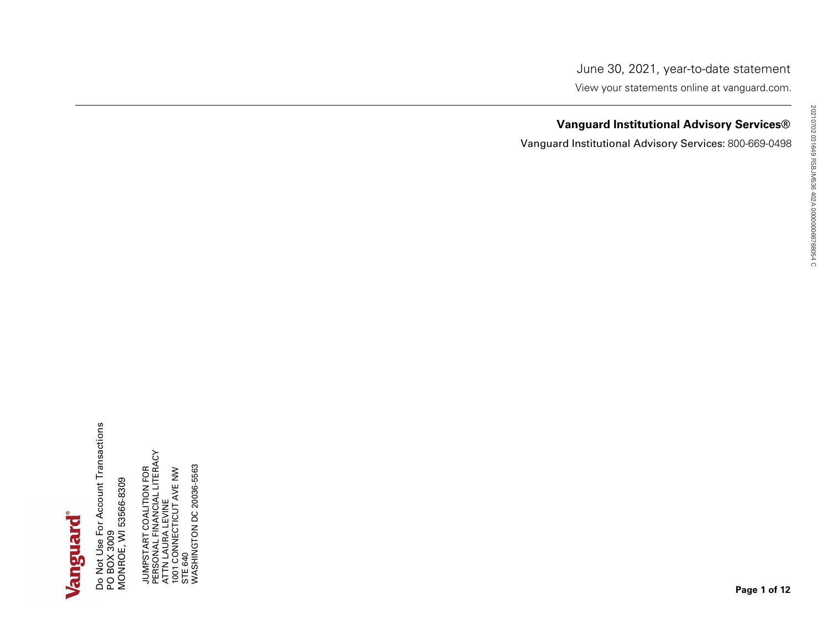Vanguard Institutional Advisory Services®<br>
Vanguard Institutional Advisory Services®<br>
The Contract of the Contract of the Contract of the Contract of the Contract of the Contract of the Contract<br>
Contract of the Contract o

# **Vanguard Institutional Advisory Services®**<br>ard Institutional Advisory Services: 800-669-0498<br>
and Institutional Advisory Services: 800-669-0498<br>
and advisory Services: 800-669-0498<br>
and advisory Services: 800-669-0498<br>
an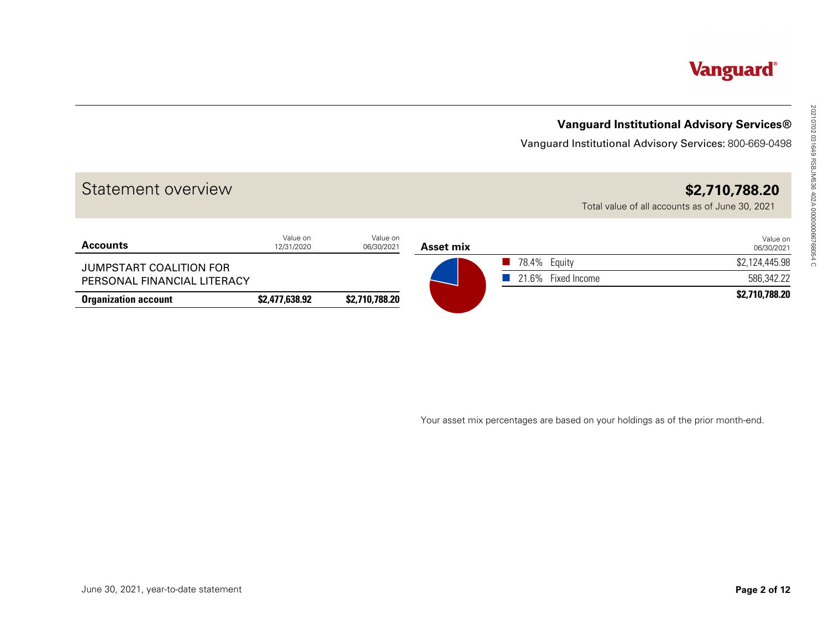# **Vanguard Institutional Advisory Services®**

|                                       |                        |                        |                  |                                                                                  | <b>Vanguard Institutional Advisory Services®</b>                  |
|---------------------------------------|------------------------|------------------------|------------------|----------------------------------------------------------------------------------|-------------------------------------------------------------------|
|                                       |                        |                        |                  | Vanguard Institutional Advisory Services: 800-669-0498                           |                                                                   |
| Statement overview                    |                        |                        |                  |                                                                                  | \$2,710,788.20<br>Total value of all accounts as of June 30, 2021 |
| <b>Accounts</b>                       | Value on<br>12/31/2020 | Value on<br>06/30/2021 | <b>Asset mix</b> |                                                                                  | Value on<br>06/30/2021                                            |
| JUMPSTART COALITION FOR               |                        |                        |                  | 78.4% Equity                                                                     | \$2,124,445.98                                                    |
| PERSONAL FINANCIAL LITERACY           |                        |                        |                  | 21.6% Fixed Income<br>$\mathbb{R}^n$                                             | 586,342.22<br>\$2,710,788.20                                      |
|                                       |                        |                        |                  |                                                                                  |                                                                   |
|                                       |                        |                        |                  | Your asset mix percentages are based on your holdings as of the prior month-end. |                                                                   |
|                                       |                        |                        |                  |                                                                                  |                                                                   |
|                                       |                        |                        |                  |                                                                                  |                                                                   |
| June 30, 2021, year-to-date statement |                        |                        |                  |                                                                                  | Page 2 of 12                                                      |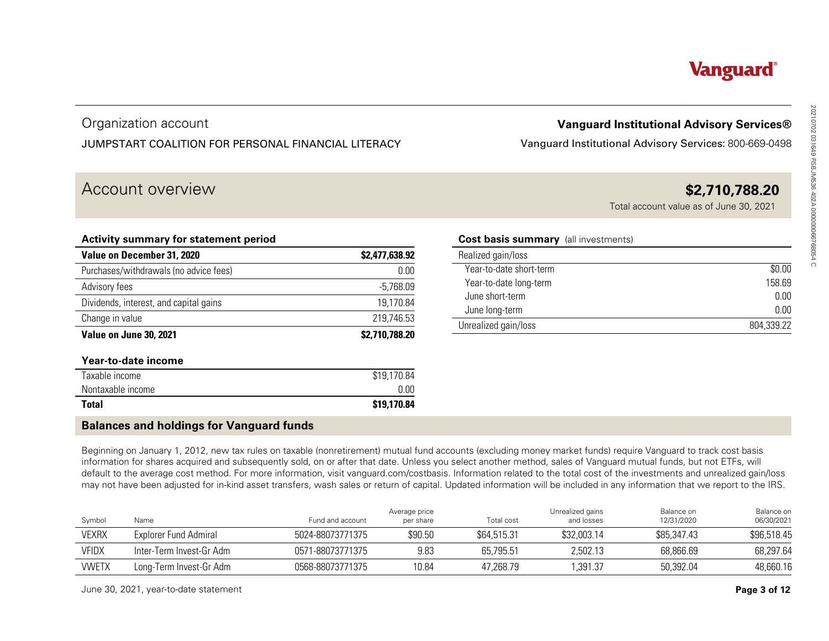# Organization account JUMPSTART COALITION FOR PERSONAL FINANCIAL LITERACY

# Account overview **\$2,710,788.20**

| <b>Vanguard Institutional Advisory Services®</b>                                                                                                                                                                                                                                                                                                         |                                             |                          |                                                     |                                      | Organization account                                                                                                                                                                                                                                                                                                                  |                        |
|----------------------------------------------------------------------------------------------------------------------------------------------------------------------------------------------------------------------------------------------------------------------------------------------------------------------------------------------------------|---------------------------------------------|--------------------------|-----------------------------------------------------|--------------------------------------|---------------------------------------------------------------------------------------------------------------------------------------------------------------------------------------------------------------------------------------------------------------------------------------------------------------------------------------|------------------------|
| Vanguard Institutional Advisory Services: 800-669-0498                                                                                                                                                                                                                                                                                                   |                                             |                          | JUMPSTART COALITION FOR PERSONAL FINANCIAL LITERACY |                                      |                                                                                                                                                                                                                                                                                                                                       |                        |
| \$2,710,788.20<br>Total account value as of June 30, 2021                                                                                                                                                                                                                                                                                                |                                             |                          |                                                     |                                      | Account overview                                                                                                                                                                                                                                                                                                                      |                        |
|                                                                                                                                                                                                                                                                                                                                                          | <b>Cost basis summary</b> (all investments) |                          |                                                     |                                      | Activity summary for statement period                                                                                                                                                                                                                                                                                                 |                        |
|                                                                                                                                                                                                                                                                                                                                                          |                                             | Realized gain/loss       | \$2,477,638.92                                      |                                      | Value on December 31, 2020                                                                                                                                                                                                                                                                                                            |                        |
| \$0.00                                                                                                                                                                                                                                                                                                                                                   |                                             | Year-to-date short-term  | 0.00                                                |                                      | Purchases/withdrawals (no advice fees)                                                                                                                                                                                                                                                                                                |                        |
| 158.69                                                                                                                                                                                                                                                                                                                                                   |                                             | Year-to-date long-term   | $-5,768.09$                                         |                                      |                                                                                                                                                                                                                                                                                                                                       | Advisory fees          |
| 0.00                                                                                                                                                                                                                                                                                                                                                     |                                             | June short-term          | 19,170.84                                           |                                      | Dividends, interest, and capital gains                                                                                                                                                                                                                                                                                                |                        |
| 0.00                                                                                                                                                                                                                                                                                                                                                     |                                             | June long-term           | 219,746.53                                          |                                      |                                                                                                                                                                                                                                                                                                                                       | Change in value        |
| 804,339.22                                                                                                                                                                                                                                                                                                                                               |                                             | Unrealized gain/loss     | \$2,710,788.20                                      |                                      | Value on June 30, 2021                                                                                                                                                                                                                                                                                                                |                        |
|                                                                                                                                                                                                                                                                                                                                                          |                                             |                          |                                                     |                                      | Year-to-date income                                                                                                                                                                                                                                                                                                                   |                        |
|                                                                                                                                                                                                                                                                                                                                                          |                                             |                          | $$19,170.\overline{84}$                             |                                      |                                                                                                                                                                                                                                                                                                                                       | Taxable income         |
|                                                                                                                                                                                                                                                                                                                                                          |                                             |                          | 0.00                                                |                                      |                                                                                                                                                                                                                                                                                                                                       | Nontaxable income      |
|                                                                                                                                                                                                                                                                                                                                                          |                                             |                          | \$19,170.84                                         |                                      |                                                                                                                                                                                                                                                                                                                                       | <b>Total</b>           |
|                                                                                                                                                                                                                                                                                                                                                          |                                             |                          |                                                     |                                      |                                                                                                                                                                                                                                                                                                                                       |                        |
|                                                                                                                                                                                                                                                                                                                                                          |                                             |                          |                                                     |                                      | <b>Balances and holdings for Vanguard funds</b>                                                                                                                                                                                                                                                                                       |                        |
| default to the average cost method. For more information, visit vanguard.com/costbasis. Information related to the total cost of the investments and unrealized gain/loss<br>may not have been adjusted for in-kind asset transfers, wash sales or return of capital. Updated information will be included in any information that we report to the IRS. |                                             |                          |                                                     |                                      | Beginning on January 1, 2012, new tax rules on taxable (nonretirement) mutual fund accounts (excluding money market funds) require Vanguard to track cost basis<br>information for shares acquired and subsequently sold, on or after that date. Unless you select another method, sales of Vanguard mutual funds, but not ETFs, will |                        |
| Balance on<br>Balance on                                                                                                                                                                                                                                                                                                                                 | Unrealized gains                            |                          | Average price                                       |                                      |                                                                                                                                                                                                                                                                                                                                       |                        |
| 12/31/2020<br>06/30/2021                                                                                                                                                                                                                                                                                                                                 | and losses                                  | Total cost               | per share<br>\$90.50                                | Fund and account<br>5024-88073771375 | Name                                                                                                                                                                                                                                                                                                                                  | Symbol<br><b>VEXRX</b> |
| \$85,347.43<br>\$96,518.45<br>68,297.64<br>68,866.69                                                                                                                                                                                                                                                                                                     | \$32,003.14<br>2,502.13                     | \$64,515.31<br>65,795.51 | 9.83                                                | 0571-88073771375                     | <b>Explorer Fund Admiral</b><br>Inter-Term Invest-Gr Adm                                                                                                                                                                                                                                                                              | <b>VFIDX</b>           |

### **Cost basis summary** (all investments)

| <b>Vanguard Institutional Advisory Services®</b><br>Vanguard Institutional Advisory Services: 800-669-0498 |            |
|------------------------------------------------------------------------------------------------------------|------------|
|                                                                                                            |            |
| \$2,710,788.20<br>Total account value as of June 30, 2021                                                  |            |
| <b>Cost basis summary</b> (all investments)                                                                |            |
| Realized gain/loss                                                                                         |            |
| Year-to-date short-term                                                                                    | \$0.00     |
| Year-to-date long-term                                                                                     | 158.69     |
| June short-term                                                                                            | 0.00       |
| June long-term                                                                                             | 0.00       |
| Unrealized gain/loss                                                                                       | 804.339.22 |

# **Balances and holdings for Vanguard funds**

| Symbol       | Name                     | Fund and account | Average price<br>per share | <b>Total cost</b> | Unrealized gains<br>and losses | Balance on<br>12/31/2020 | Balance on<br>06/30/2021 |
|--------------|--------------------------|------------------|----------------------------|-------------------|--------------------------------|--------------------------|--------------------------|
| <b>VEXRX</b> | Explorer Fund Admiral    | 5024-88073771375 | \$90.50                    | \$64,515.31       | \$32,003.14                    | \$85,347.43              | \$96,518.45              |
| <b>VFIDX</b> | Inter-Term Invest-Gr Adm | 0571-88073771375 | 9.83                       | 65.795.51         | 2.502.13                       | 68.866.69                | 68.297.64                |
| <b>VWETX</b> | Long-Term Invest-Gr Adm  | 0568-88073771375 | 10.84                      | 47.268.79         | ,391.37                        | 50.392.04                | 48,660.16                |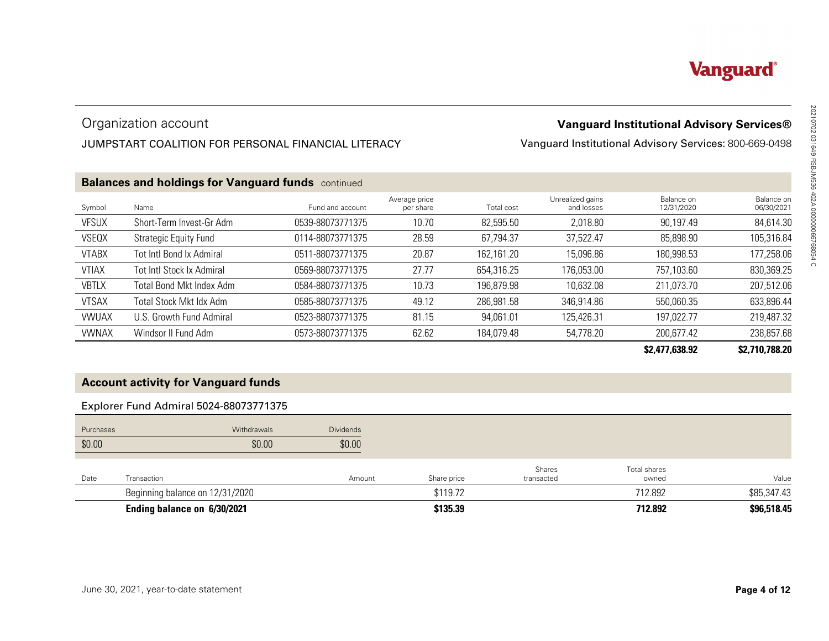# Organization account

# JUMPSTART COALITION FOR PERSONAL FINANCIAL LITERACY

|              | Organization account                                      |                  |                            |            |                                | <b>Vanguard Institutional Advisory Services®</b>       |                          |
|--------------|-----------------------------------------------------------|------------------|----------------------------|------------|--------------------------------|--------------------------------------------------------|--------------------------|
|              | JUMPSTART COALITION FOR PERSONAL FINANCIAL LITERACY       |                  |                            |            |                                | Vanguard Institutional Advisory Services: 800-669-0498 |                          |
|              | <b>Balances and holdings for Vanguard funds</b> continued |                  |                            |            |                                |                                                        |                          |
| Symbol       | Name                                                      | Fund and account | Average price<br>per share | Total cost | Unrealized gains<br>and losses | Balance on<br>12/31/2020                               | Balance on<br>06/30/2021 |
| <b>VFSUX</b> | Short-Term Invest-Gr Adm                                  | 0539-88073771375 | 10.70                      | 82,595.50  | 2,018.80                       | 90,197.49                                              | 84,614.30                |
| VSEQX        | <b>Strategic Equity Fund</b>                              | 0114-88073771375 | 28.59                      | 67,794.37  | 37,522.47                      | 85,898.90                                              | 105,316.84               |
| <b>VTABX</b> | Tot Intl Bond Ix Admiral                                  | 0511-88073771375 | 20.87                      | 162,161.20 | 15,096.86                      | 180,998.53                                             | 177,258.06               |
| <b>VTIAX</b> | <b>Tot Intl Stock Ix Admiral</b>                          | 0569-88073771375 | 27.77                      | 654,316.25 | 176,053.00                     | 757,103.60                                             | 830,369.25               |
| <b>VBTLX</b> | Total Bond Mkt Index Adm                                  | 0584-88073771375 | 10.73                      | 196,879.98 | 10,632.08                      | 211,073.70                                             | 207,512.06               |
| <b>VTSAX</b> | <b>Total Stock Mkt Idx Adm</b>                            | 0585-88073771375 | 49.12                      | 286,981.58 | 346,914.86                     | 550,060.35                                             | 633,896.44               |
| <b>VWUAX</b> | U.S. Growth Fund Admiral                                  | 0523-88073771375 | 81.15                      | 94,061.01  | 125,426.31                     | 197,022.77                                             | 219,487.32               |
| <b>VWNAX</b> | Windsor II Fund Adm                                       | 0573-88073771375 | 62.62                      | 184,079.48 | 54,778.20                      | 200,677.42                                             | 238,857.68               |
|              |                                                           |                  |                            |            |                                | \$2,477,638.92                                         | \$2,710,788.20           |
|              | <b>Account activity for Vanguard funds</b>                |                  |                            |            |                                |                                                        |                          |
|              | Explorer Fund Admiral 5024-88073771375                    |                  |                            |            |                                |                                                        |                          |
| Purchases    | Withdrawals                                               | <b>Dividends</b> |                            |            |                                |                                                        |                          |
| \$0.00       | \$0.00                                                    | \$0.00           |                            |            |                                |                                                        |                          |
| Date         | Transaction                                               | Amount           | Share price                |            | Shares<br>transacted           | Total shares<br>owned                                  | Value                    |
|              | Beginning balance on 12/31/2020                           |                  | \$119.72                   |            |                                | 712.892                                                | \$85,347.43              |
|              | Ending balance on 6/30/2021                               |                  | \$135.39                   |            |                                | 712.892                                                | \$96,518.45              |

## **\$2,477,638.92 \$2,710,788.20**

# **Account activity for Vanguard funds**

# Explorer Fund Admiral 5024-88073771375

| Purchases | Withdrawals                     | <b>Dividends</b> |             |                      |                       |             |
|-----------|---------------------------------|------------------|-------------|----------------------|-----------------------|-------------|
| \$0.00    | \$0.00                          | \$0.00           |             |                      |                       |             |
| Date      | Transaction                     | Amount           | Share price | Shares<br>transacted | Total shares<br>owned | Value       |
|           | Beginning balance on 12/31/2020 |                  | \$119.72    |                      | 712.892               | \$85,347.43 |
|           | Ending balance on 6/30/2021     |                  | \$135.39    |                      | 712.892               | \$96,518.45 |

# **Vanguard**®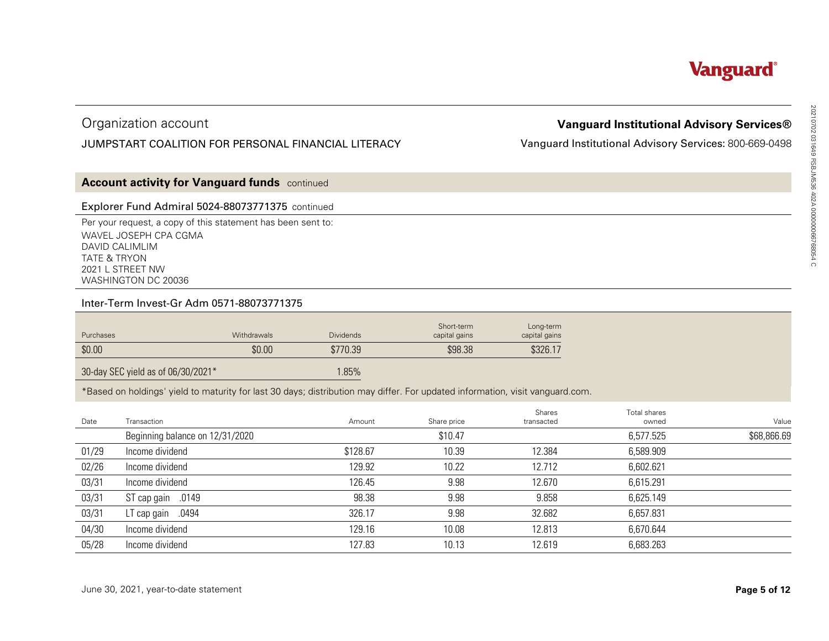# Organization account

# JUMPSTART COALITION FOR PERSONAL FINANCIAL LITERACY

# **Vanguard Institutional Advisory Services**<br>
ard Institutional Advisory Services: 800-669-0498<br>
as a service of the services<br>
as a service of the services<br>
as a service of the services<br>
as a serial services<br>
as a service se

# **Account activity for Vanguard funds** continued

### Explorer Fund Admiral 5024-88073771375 continued

### Inter-Term Invest-Gr Adm 0571-88073771375

| Purchases | <b>Withdrawals</b> | <b>Dividends</b> | Short-term<br>capital gains | Long-term<br>capital gains |
|-----------|--------------------|------------------|-----------------------------|----------------------------|
| \$0.00    | \$0.00             | \$770.39         | \$98.38                     | \$326.17                   |

|                                           | Organization account                                                                                                             |             |                                                                                                                                        |                             |                            | <b>Vanguard Institutional Advisory Services®</b>       |                      |
|-------------------------------------------|----------------------------------------------------------------------------------------------------------------------------------|-------------|----------------------------------------------------------------------------------------------------------------------------------------|-----------------------------|----------------------------|--------------------------------------------------------|----------------------|
|                                           |                                                                                                                                  |             | JUMPSTART COALITION FOR PERSONAL FINANCIAL LITERACY                                                                                    |                             |                            | Vanguard Institutional Advisory Services: 800-669-0498 |                      |
|                                           | <b>Account activity for Vanguard funds</b> continued                                                                             |             |                                                                                                                                        |                             |                            |                                                        |                      |
|                                           | Explorer Fund Admiral 5024-88073771375 continued                                                                                 |             |                                                                                                                                        |                             |                            |                                                        |                      |
| DAVID CALIMLIM<br><b>TATE &amp; TRYON</b> | Per your request, a copy of this statement has been sent to:<br>WAVEL JOSEPH CPA CGMA<br>2021 L STREET NW<br>WASHINGTON DC 20036 |             |                                                                                                                                        |                             |                            |                                                        |                      |
|                                           | Inter-Term Invest-Gr Adm 0571-88073771375                                                                                        |             |                                                                                                                                        |                             |                            |                                                        |                      |
|                                           |                                                                                                                                  | Withdrawals | <b>Dividends</b>                                                                                                                       | Short-term<br>capital gains | Long-term<br>capital gains |                                                        |                      |
| Purchases                                 |                                                                                                                                  |             |                                                                                                                                        |                             |                            |                                                        |                      |
| \$0.00                                    |                                                                                                                                  | \$0.00      | \$770.39                                                                                                                               | \$98.38                     | \$326.17                   |                                                        |                      |
|                                           | 30-day SEC yield as of 06/30/2021*                                                                                               |             | 1.85%<br>*Based on holdings' yield to maturity for last 30 days; distribution may differ. For updated information, visit vanguard.com. |                             |                            |                                                        |                      |
| Date                                      | Transaction                                                                                                                      |             | Amount                                                                                                                                 | Share price                 | Shares<br>transacted       | Total shares<br>owned                                  |                      |
|                                           | Beginning balance on 12/31/2020                                                                                                  |             |                                                                                                                                        | \$10.47                     |                            | 6,577.525                                              |                      |
| 01/29                                     | Income dividend                                                                                                                  |             | \$128.67                                                                                                                               | 10.39                       | 12.384                     | 6,589.909                                              |                      |
| 02/26                                     | Income dividend                                                                                                                  |             | 129.92                                                                                                                                 | 10.22                       | 12.712                     | 6,602.621                                              | Value<br>\$68,866.69 |
| 03/31                                     | Income dividend                                                                                                                  |             | 126.45                                                                                                                                 | 9.98                        | 12.670                     | 6,615.291                                              |                      |
| 03/31                                     | ST cap gain .0149                                                                                                                |             | 98.38                                                                                                                                  | 9.98                        | 9.858                      | 6,625.149                                              |                      |
| 03/31                                     | LT cap gain .0494                                                                                                                |             | 326.17                                                                                                                                 | 9.98                        | 32.682                     | 6,657.831                                              |                      |
| 04/30                                     | Income dividend                                                                                                                  |             | 129.16                                                                                                                                 | 10.08                       | 12.813                     | 6,670.644                                              |                      |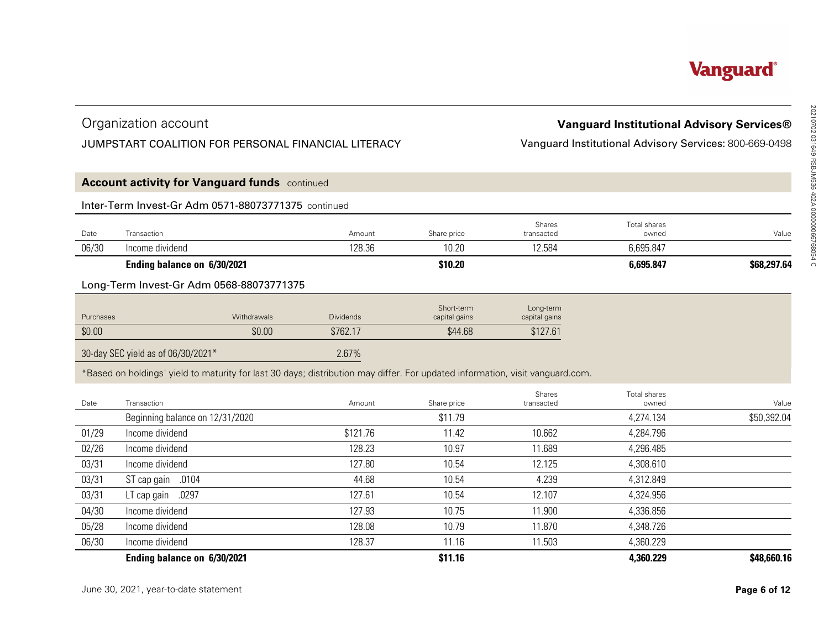# Organization account

# JUMPSTART COALITION FOR PERSONAL FINANCIAL LITERACY

| <b>Vanguard Institutional Advisory Services®</b><br>Vanguard Institutional Advisory Services: 800-669-0498 |                       |                            |                             | Organization account<br>JUMPSTART COALITION FOR PERSONAL FINANCIAL LITERACY |                                                                                                                               |           |  |  |  |
|------------------------------------------------------------------------------------------------------------|-----------------------|----------------------------|-----------------------------|-----------------------------------------------------------------------------|-------------------------------------------------------------------------------------------------------------------------------|-----------|--|--|--|
|                                                                                                            |                       |                            |                             |                                                                             | <b>Account activity for Vanguard funds</b> continued                                                                          |           |  |  |  |
|                                                                                                            |                       |                            |                             |                                                                             | Inter-Term Invest-Gr Adm 0571-88073771375 continued                                                                           |           |  |  |  |
| Value                                                                                                      | Total shares<br>owned | Shares<br>transacted       | Share price                 | Amount                                                                      |                                                                                                                               | Date      |  |  |  |
|                                                                                                            | 6,695.847             | 12.584                     | 10.20                       | 128.36                                                                      | Income dividend                                                                                                               | 06/30     |  |  |  |
| \$68,297.64                                                                                                | 6,695.847             |                            | \$10.20                     |                                                                             | Ending balance on 6/30/2021                                                                                                   |           |  |  |  |
|                                                                                                            |                       |                            |                             |                                                                             | Long-Term Invest-Gr Adm 0568-88073771375                                                                                      |           |  |  |  |
|                                                                                                            |                       | Long-term<br>capital gains | Short-term<br>capital gains | <b>Dividends</b>                                                            | Withdrawals                                                                                                                   | Purchases |  |  |  |
|                                                                                                            |                       |                            |                             |                                                                             |                                                                                                                               |           |  |  |  |
|                                                                                                            |                       | \$127.61                   | \$44.68                     | \$762.17                                                                    | \$0.00                                                                                                                        | \$0.00    |  |  |  |
|                                                                                                            |                       |                            |                             | 2.67%                                                                       | 30-day SEC yield as of 06/30/2021*                                                                                            |           |  |  |  |
|                                                                                                            |                       |                            |                             |                                                                             | *Based on holdings' yield to maturity for last 30 days; distribution may differ. For updated information, visit vanguard.com. |           |  |  |  |
|                                                                                                            | Total shares          | Shares                     |                             |                                                                             |                                                                                                                               |           |  |  |  |
|                                                                                                            | owned                 | transacted                 | Share price                 | Amount                                                                      |                                                                                                                               | Date      |  |  |  |
|                                                                                                            | 4,274.134             |                            | \$11.79                     |                                                                             | Beginning balance on 12/31/2020                                                                                               |           |  |  |  |
|                                                                                                            | 4,284.796             | 10.662                     | 11.42                       | \$121.76                                                                    | Income dividend                                                                                                               | 01/29     |  |  |  |
|                                                                                                            | 4,296.485             | 11.689                     | 10.97                       | 128.23                                                                      | Income dividend                                                                                                               | 02/26     |  |  |  |
|                                                                                                            | 4,308.610             | 12.125                     | 10.54                       | 127.80                                                                      | Income dividend                                                                                                               | 03/31     |  |  |  |
|                                                                                                            | 4,312.849             | 4.239                      | 10.54                       | 44.68                                                                       | ST cap gain .0104                                                                                                             | 03/31     |  |  |  |
| Value<br>\$50,392.04                                                                                       | 4,324.956             | 12.107                     | 10.54                       | 127.61                                                                      | LT cap gain .0297                                                                                                             | 03/31     |  |  |  |
|                                                                                                            | 4,336.856             | 11.900                     | 10.75                       | 127.93                                                                      | Income dividend                                                                                                               | 04/30     |  |  |  |
|                                                                                                            | 4,348.726             | 11.870                     | 10.79                       | 128.08                                                                      | Income dividend                                                                                                               | 05/28     |  |  |  |
|                                                                                                            | 4,360.229             | 11.503                     | 11.16                       | 128.37                                                                      | Income dividend                                                                                                               | 06/30     |  |  |  |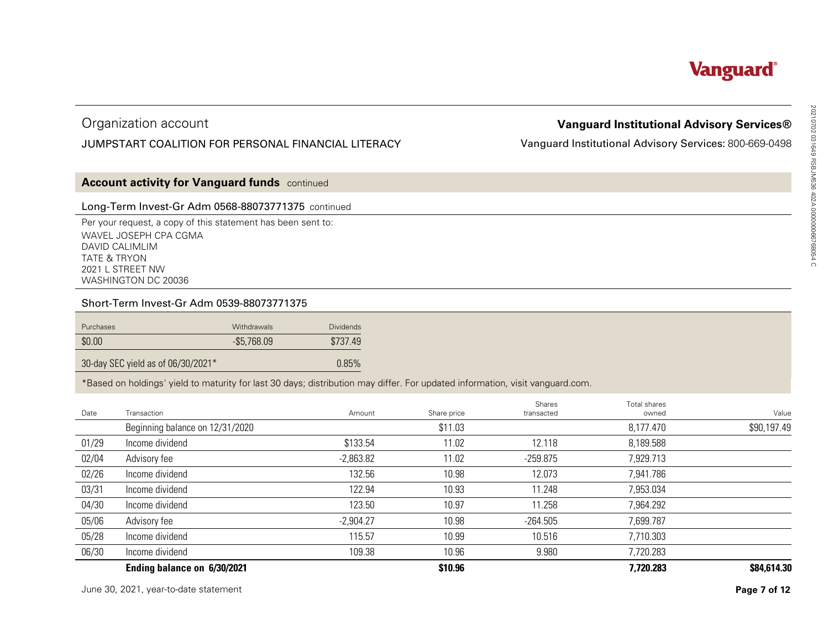# Organization account

# JUMPSTART COALITION FOR PERSONAL FINANCIAL LITERACY

# **Vanguard Institutional Advisory Services**<br>ard Institutional Advisory Services: 800-669-0498<br>
and Services: 800-669-0498<br>
as a some assession as a series of a series of a series of a series of a<br>
a series of a series of a

# **Account activity for Vanguard funds** continued

## Long-Term Invest-Gr Adm 0568-88073771375 continued

### Short-Term Invest-Gr Adm 0539-88073771375

| \$0.00<br>$-$5,768.09$<br>\$737.49 | Purchases | <b>Withdrawals</b> | <b>Dividends</b> |
|------------------------------------|-----------|--------------------|------------------|
|                                    |           |                    |                  |

|           | Organization account                                                                                                                                                          |              |                  |             |                      | <b>Vanguard Institutional Advisory Services®</b>       |                      |
|-----------|-------------------------------------------------------------------------------------------------------------------------------------------------------------------------------|--------------|------------------|-------------|----------------------|--------------------------------------------------------|----------------------|
|           | JUMPSTART COALITION FOR PERSONAL FINANCIAL LITERACY                                                                                                                           |              |                  |             |                      | Vanguard Institutional Advisory Services: 800-669-0498 |                      |
|           | <b>Account activity for Vanguard funds</b> continued                                                                                                                          |              |                  |             |                      |                                                        |                      |
|           | Long-Term Invest-Gr Adm 0568-88073771375 continued                                                                                                                            |              |                  |             |                      |                                                        |                      |
|           | Per your request, a copy of this statement has been sent to:<br>WAVEL JOSEPH CPA CGMA<br>DAVID CALIMLIM<br><b>TATE &amp; TRYON</b><br>2021 L STREET NW<br>WASHINGTON DC 20036 |              |                  |             |                      |                                                        |                      |
|           | Short-Term Invest-Gr Adm 0539-88073771375                                                                                                                                     |              |                  |             |                      |                                                        |                      |
| Purchases |                                                                                                                                                                               | Withdrawals  | <b>Dividends</b> |             |                      |                                                        |                      |
|           |                                                                                                                                                                               |              |                  |             |                      |                                                        |                      |
| \$0.00    |                                                                                                                                                                               | $-$5,768.09$ | \$737.49         |             |                      |                                                        |                      |
|           | 30-day SEC yield as of 06/30/2021*                                                                                                                                            |              | 0.85%            |             |                      |                                                        |                      |
|           | *Based on holdings' yield to maturity for last 30 days; distribution may differ. For updated information, visit vanguard.com.                                                 |              |                  |             |                      |                                                        |                      |
| Date      | Transaction                                                                                                                                                                   |              | Amount           | Share price | Shares<br>transacted | Total shares<br>owned                                  |                      |
|           | Beginning balance on 12/31/2020                                                                                                                                               |              |                  | \$11.03     |                      | 8,177.470                                              |                      |
| 01/29     | Income dividend                                                                                                                                                               |              | \$133.54         | 11.02       | 12.118               | 8,189.588                                              |                      |
| 02/04     | Advisory fee                                                                                                                                                                  |              | $-2,863.82$      | 11.02       | $-259.875$           | 7,929.713                                              | Value<br>\$90,197.49 |
| 02/26     | Income dividend                                                                                                                                                               |              | 132.56           | 10.98       | 12.073               | 7,941.786                                              |                      |
| 03/31     | Income dividend                                                                                                                                                               |              | 122.94           | 10.93       | 11.248               | 7,953.034                                              |                      |
| 04/30     | Income dividend                                                                                                                                                               |              | 123.50           | 10.97       | 11.258               | 7,964.292                                              |                      |
| 05/06     | Advisory fee                                                                                                                                                                  |              | $-2,904.27$      | 10.98       | $-264.505$           | 7,699.787                                              |                      |
| 05/28     | Income dividend                                                                                                                                                               |              | 115.57           | 10.99       | 10.516               | 7,710.303                                              |                      |
| 06/30     | Income dividend                                                                                                                                                               |              | 109.38           | 10.96       | 9.980                | 7,720.283                                              |                      |
|           | Ending balance on 6/30/2021                                                                                                                                                   |              |                  | \$10.96     |                      | 7,720.283                                              | \$84,614.30          |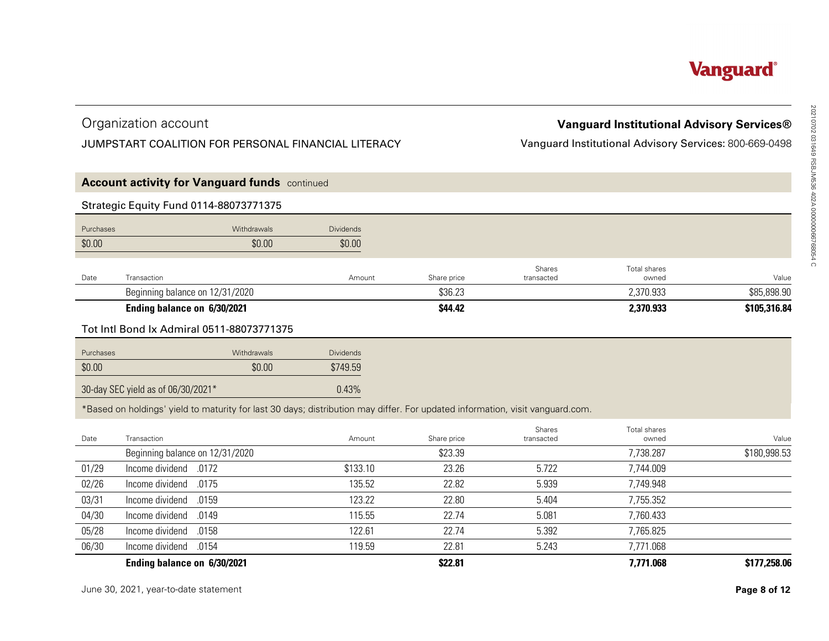# Organization account

# JUMPSTART COALITION FOR PERSONAL FINANCIAL LITERACY

|           | Organization account                                                                                                          |                  |             |                      | <b>Vanguard Institutional Advisory Services®</b>       |              |
|-----------|-------------------------------------------------------------------------------------------------------------------------------|------------------|-------------|----------------------|--------------------------------------------------------|--------------|
|           | JUMPSTART COALITION FOR PERSONAL FINANCIAL LITERACY                                                                           |                  |             |                      | Vanguard Institutional Advisory Services: 800-669-0498 |              |
|           | <b>Account activity for Vanguard funds</b> continued                                                                          |                  |             |                      |                                                        |              |
|           | <b>Strategic Equity Fund 0114-88073771375</b>                                                                                 |                  |             |                      |                                                        |              |
| Purchases | Withdrawals                                                                                                                   | <b>Dividends</b> |             |                      |                                                        |              |
| \$0.00    | \$0.00                                                                                                                        | \$0.00           |             |                      |                                                        |              |
| Date      | Transaction                                                                                                                   | Amount           | Share price | Shares<br>transacted | Total shares<br>owned                                  | Value        |
|           | Beginning balance on 12/31/2020                                                                                               |                  | \$36.23     |                      | 2,370.933                                              | \$85,898.90  |
|           | Ending balance on 6/30/2021                                                                                                   |                  | \$44.42     |                      | 2,370.933                                              | \$105,316.84 |
|           | Tot Intl Bond Ix Admiral 0511-88073771375                                                                                     |                  |             |                      |                                                        |              |
| Purchases | Withdrawals                                                                                                                   | <b>Dividends</b> |             |                      |                                                        |              |
| \$0.00    | \$0.00                                                                                                                        | \$749.59         |             |                      |                                                        |              |
|           | 30-day SEC yield as of 06/30/2021*                                                                                            | 0.43%            |             |                      |                                                        |              |
|           | *Based on holdings' yield to maturity for last 30 days; distribution may differ. For updated information, visit vanguard.com. |                  |             |                      |                                                        |              |
| Date      | Transaction                                                                                                                   | Amount           | Share price | Shares<br>transacted | Total shares<br>owned                                  | Value        |
|           | Beginning balance on 12/31/2020                                                                                               |                  | \$23.39     |                      | 7,738.287                                              | \$180,998.53 |
| 01/29     | Income dividend<br>.0172                                                                                                      | \$133.10         | 23.26       | 5.722                | 7,744.009                                              |              |
| 02/26     | Income dividend<br>.0175                                                                                                      | 135.52           | 22.82       | 5.939                | 7,749.948                                              |              |
| 03/31     | Income dividend<br>.0159                                                                                                      | 123.22           | 22.80       | 5.404                | 7,755.352                                              |              |
| 04/30     | Income dividend<br>.0149                                                                                                      | 115.55           | 22.74       | 5.081                | 7,760.433                                              |              |
| 05/28     | Income dividend<br>.0158                                                                                                      | 122.61           | 22.74       | 5.392                | 7,765.825                                              |              |
| 06/30     | Income dividend<br>.0154                                                                                                      | 119.59           | 22.81       | 5.243                | 7,771.068                                              |              |
|           | Ending balance on 6/30/2021                                                                                                   |                  | \$22.81     |                      | 7,771.068                                              | \$177,258.06 |
|           | June 30, 2021, year-to-date statement                                                                                         |                  |             |                      |                                                        | Page 8 of 12 |
|           |                                                                                                                               |                  |             |                      |                                                        |              |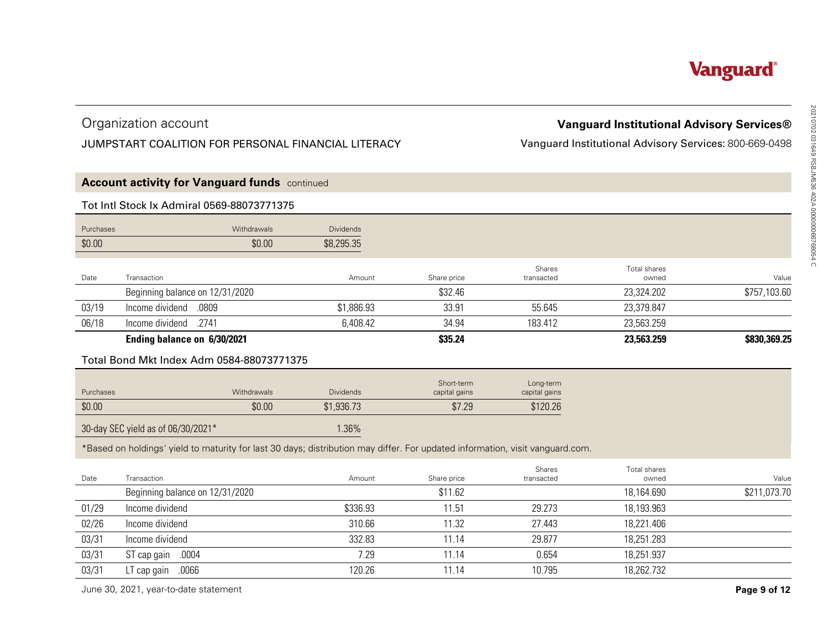# Organization account

# JUMPSTART COALITION FOR PERSONAL FINANCIAL LITERACY

| Organization account<br><b>Vanguard Institutional Advisory Services®</b><br>JUMPSTART COALITION FOR PERSONAL FINANCIAL LITERACY<br>Vanguard Institutional Advisory Services: 800-669-0498<br><b>Account activity for Vanguard funds</b> continued |              |
|---------------------------------------------------------------------------------------------------------------------------------------------------------------------------------------------------------------------------------------------------|--------------|
|                                                                                                                                                                                                                                                   |              |
|                                                                                                                                                                                                                                                   |              |
|                                                                                                                                                                                                                                                   |              |
| Tot Intl Stock Ix Admiral 0569-88073771375                                                                                                                                                                                                        |              |
| Purchases<br><b>Dividends</b><br>Withdrawals                                                                                                                                                                                                      |              |
| \$0.00<br>\$0.00<br>\$8,295.35                                                                                                                                                                                                                    |              |
| Shares<br>Total shares<br>Date<br>Transaction<br>Amount<br>Share price<br>transacted<br>owned                                                                                                                                                     | Value        |
| Beginning balance on 12/31/2020<br>\$32.46<br>23,324.202                                                                                                                                                                                          | \$757,103.60 |
| 03/19<br>.0809<br>Income dividend<br>\$1,886.93<br>33.91<br>55.645<br>23,379.847                                                                                                                                                                  |              |
| 06/18<br>Income dividend<br>.2741<br>6,408.42<br>34.94<br>183.412<br>23,563.259                                                                                                                                                                   |              |
| Ending balance on 6/30/2021<br>\$35.24<br>23,563.259                                                                                                                                                                                              | \$830,369.25 |
| Total Bond Mkt Index Adm 0584-88073771375                                                                                                                                                                                                         |              |
|                                                                                                                                                                                                                                                   |              |
| Short-term<br>Long-term<br>Withdrawals<br><b>Dividends</b><br>Purchases<br>capital gains<br>capital gains                                                                                                                                         |              |
| \$0.00<br>\$0.00<br>\$7.29<br>\$1,936.73<br>\$120.26                                                                                                                                                                                              |              |
| 30-day SEC yield as of 06/30/2021*<br>1.36%                                                                                                                                                                                                       |              |
| *Based on holdings' yield to maturity for last 30 days; distribution may differ. For updated information, visit vanguard.com.                                                                                                                     |              |
| Shares<br>Total shares                                                                                                                                                                                                                            |              |
| Date<br>Transaction<br>Share price<br>Amount<br>transacted<br>owned                                                                                                                                                                               | Value        |
| Beginning balance on 12/31/2020<br>\$11.62<br>18,164.690                                                                                                                                                                                          | \$211,073.70 |
| Income dividend<br>01/29<br>\$336.93<br>11.51<br>29.273<br>18,193.963                                                                                                                                                                             |              |
| 02/26<br>Income dividend<br>310.66<br>11.32<br>27.443<br>18,221.406                                                                                                                                                                               |              |
| 03/31<br>Income dividend<br>332.83<br>29.877<br>18,251.283<br>11.14                                                                                                                                                                               |              |
| 03/31<br>ST cap gain .0004<br>7.29<br>0.654<br>18,251.937<br>11.14                                                                                                                                                                                |              |
| LT cap gain<br>.0066<br>10.795<br>18,262.732<br>03/31<br>120.26<br>11.14                                                                                                                                                                          |              |
| June 30, 2021, year-to-date statement                                                                                                                                                                                                             | Page 9 of 12 |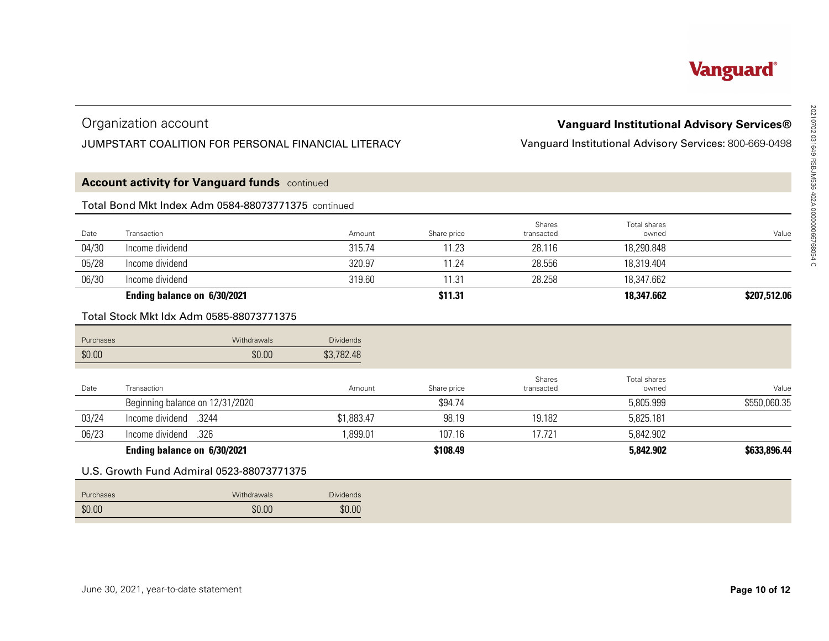# Organization account

# JUMPSTART COALITION FOR PERSONAL FINANCIAL LITERACY

# **Account activity for Vanguard funds** continued

## Total Bond Mkt Index Adm 0584-88073771375 continued

|       | Organization account<br>JUMPSTART COALITION FOR PERSONAL FINANCIAL LITERACY |        |             |                             | <b>Vanguard Institutional Advisory Services®</b><br>Vanguard Institutional Advisory Services: 800-669-0498 |              |
|-------|-----------------------------------------------------------------------------|--------|-------------|-----------------------------|------------------------------------------------------------------------------------------------------------|--------------|
|       | <b>Account activity for Vanguard funds</b> continued                        |        |             |                             |                                                                                                            |              |
|       | Total Bond Mkt Index Adm 0584-88073771375 continued                         |        |             |                             |                                                                                                            |              |
| Date  | Transaction                                                                 | Amount | Share price | <b>Shares</b><br>transacted | Total shares<br>owned                                                                                      | Value        |
| 04/30 | Income dividend                                                             | 315.74 | 11.23       | 28.116                      | 18,290.848                                                                                                 |              |
| 05/28 | Income dividend                                                             | 320.97 | 11.24       | 28.556                      | 18,319.404                                                                                                 |              |
| 06/30 | Income dividend                                                             | 319.60 | 11.31       | 28.258                      | 18,347.662                                                                                                 |              |
|       | Ending balance on 6/30/2021                                                 |        | \$11.31     |                             | 18,347.662                                                                                                 | \$207,512.06 |

# Total Stock Mkt Idx Adm 0585-88073771375

|                       | <b>Vanguard Institutional Advisory Services®</b>       |                      |                                                     |                  | Organization account                                 |           |  |
|-----------------------|--------------------------------------------------------|----------------------|-----------------------------------------------------|------------------|------------------------------------------------------|-----------|--|
|                       | Vanguard Institutional Advisory Services: 800-669-0498 |                      | JUMPSTART COALITION FOR PERSONAL FINANCIAL LITERACY |                  |                                                      |           |  |
|                       |                                                        |                      |                                                     |                  | <b>Account activity for Vanguard funds</b> continued |           |  |
|                       |                                                        |                      |                                                     |                  | Total Bond Mkt Index Adm 0584-88073771375 continued  |           |  |
| Value                 | Total shares<br>owned                                  | Shares<br>transacted | Share price                                         | Amount           | Transaction                                          | Date      |  |
|                       | 18,290.848                                             | 28.116               | 11.23                                               | 315.74           | Income dividend                                      | 04/30     |  |
|                       | 18,319.404                                             | 28.556               | 11.24                                               | 320.97           | Income dividend                                      | 05/28     |  |
|                       | 18,347.662                                             | 28.258               | 11.31                                               | 319.60           | Income dividend                                      | 06/30     |  |
| \$207,512.06          | 18,347.662                                             |                      | \$11.31                                             |                  | Ending balance on 6/30/2021                          |           |  |
|                       |                                                        |                      |                                                     |                  | Total Stock Mkt Idx Adm 0585-88073771375             |           |  |
|                       |                                                        |                      |                                                     | <b>Dividends</b> | Withdrawals                                          | Purchases |  |
|                       |                                                        |                      |                                                     | \$3,782.48       | \$0.00                                               | \$0.00    |  |
|                       |                                                        |                      |                                                     |                  |                                                      |           |  |
|                       | Total shares<br>owned                                  | Shares<br>transacted |                                                     | Amount           | Transaction                                          |           |  |
|                       | 5,805.999                                              |                      | Share price<br>\$94.74                              |                  | Beginning balance on 12/31/2020                      | Date      |  |
| Value<br>\$550,060.35 | 5,825.181                                              | 19.182               | 98.19                                               | \$1,883.47       | .3244<br>Income dividend                             | 03/24     |  |
|                       | 5,842.902                                              | 17.721               | 107.16                                              | 1,899.01         | Income dividend<br>.326                              | 06/23     |  |
| \$633,896.44          | 5,842.902                                              |                      | \$108.49                                            |                  | Ending balance on 6/30/2021                          |           |  |
|                       |                                                        |                      |                                                     |                  | U.S. Growth Fund Admiral 0523-88073771375            |           |  |
|                       |                                                        |                      |                                                     | <b>Dividends</b> | Withdrawals                                          | Purchases |  |

# U.S. Growth Fund Admiral 0523-88073771375

| Purchases | Withdrawals | <b>Dividends</b> |
|-----------|-------------|------------------|
| \$0.00    | \$0.00      | \$0.00           |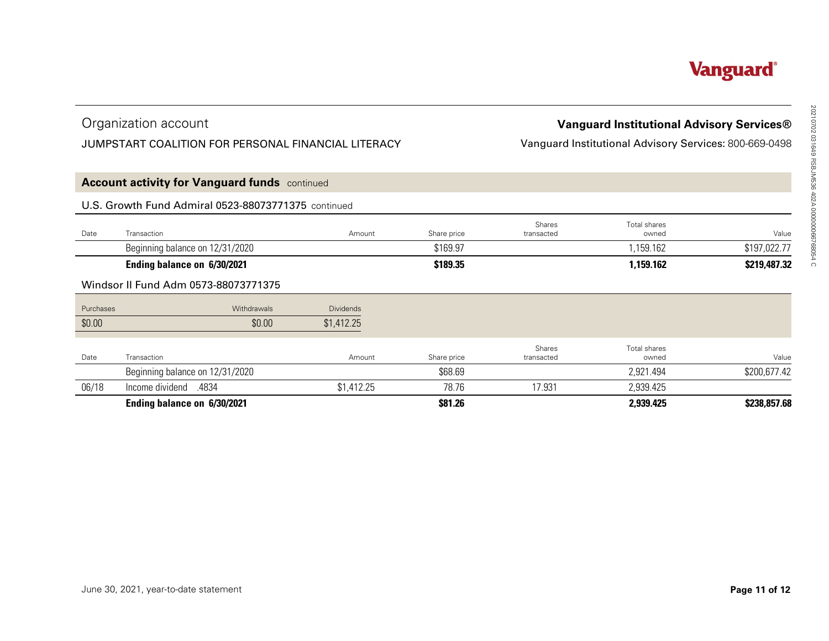# Organization account

# JUMPSTART COALITION FOR PERSONAL FINANCIAL LITERACY

| JUMPSTART COALITION FOR PERSONAL FINANCIAL LITERACY<br><b>Account activity for Vanguard funds</b> continued<br>U.S. Growth Fund Admiral 0523-88073771375 continued<br>Transaction<br>Amount<br>Date |             |                      |                       |                                                        |  |  |  |
|-----------------------------------------------------------------------------------------------------------------------------------------------------------------------------------------------------|-------------|----------------------|-----------------------|--------------------------------------------------------|--|--|--|
|                                                                                                                                                                                                     |             |                      |                       | Vanguard Institutional Advisory Services: 800-669-0498 |  |  |  |
|                                                                                                                                                                                                     |             |                      |                       |                                                        |  |  |  |
|                                                                                                                                                                                                     |             |                      |                       |                                                        |  |  |  |
|                                                                                                                                                                                                     | Share price | Shares<br>transacted | Total shares<br>owned | Value                                                  |  |  |  |
| Beginning balance on 12/31/2020                                                                                                                                                                     | \$169.97    |                      | 1,159.162             | \$197,022.77                                           |  |  |  |
| Ending balance on 6/30/2021                                                                                                                                                                         | \$189.35    |                      | 1,159.162             | \$219,487.32                                           |  |  |  |
| Windsor II Fund Adm 0573-88073771375                                                                                                                                                                |             |                      |                       |                                                        |  |  |  |
| Purchases<br>Withdrawals<br><b>Dividends</b>                                                                                                                                                        |             |                      |                       |                                                        |  |  |  |
| \$0.00<br>\$0.00<br>\$1,412.25                                                                                                                                                                      |             |                      |                       |                                                        |  |  |  |
| Date<br>Transaction<br>Amount                                                                                                                                                                       | Share price | Shares<br>transacted | Total shares<br>owned | Value                                                  |  |  |  |
| Beginning balance on 12/31/2020                                                                                                                                                                     | \$68.69     |                      | 2,921.494             | \$200,677.42                                           |  |  |  |
| 06/18<br>lncome dividend .4834<br>\$1,412.25                                                                                                                                                        | 78.76       | 17.931               | 2,939.425             |                                                        |  |  |  |
| Ending balance on 6/30/2021                                                                                                                                                                         | \$81.26     |                      | 2,939.425             | \$238,857.68                                           |  |  |  |
|                                                                                                                                                                                                     |             |                      |                       |                                                        |  |  |  |
|                                                                                                                                                                                                     |             |                      |                       |                                                        |  |  |  |
|                                                                                                                                                                                                     |             |                      |                       |                                                        |  |  |  |
|                                                                                                                                                                                                     |             |                      |                       |                                                        |  |  |  |
|                                                                                                                                                                                                     |             |                      |                       |                                                        |  |  |  |
|                                                                                                                                                                                                     |             |                      |                       |                                                        |  |  |  |
|                                                                                                                                                                                                     |             |                      |                       |                                                        |  |  |  |
|                                                                                                                                                                                                     |             |                      |                       |                                                        |  |  |  |
|                                                                                                                                                                                                     |             |                      |                       |                                                        |  |  |  |
| June 30, 2021, year-to-date statement                                                                                                                                                               |             |                      |                       | Page 11 of 12                                          |  |  |  |